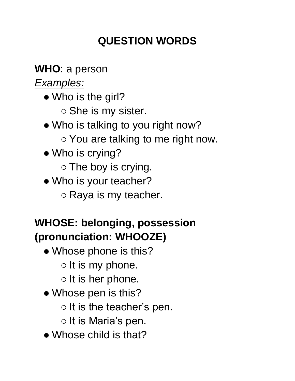## **QUESTION WORDS**

**WHO**: a person

*Examples:*

- Who is the girl? ○ She is my sister.
- Who is talking to you right now?
	- You are talking to me right now.
- Who is crying?

○ The boy is crying.

- Who is your teacher?
	- Raya is my teacher.

# **WHOSE: belonging, possession (pronunciation: WHOOZE)**

- Whose phone is this?
	- $\circ$  It is my phone.
	- $\circ$  It is her phone.
- Whose pen is this?
	- $\circ$  It is the teacher's pen.
	- It is Maria's pen.
- Whose child is that?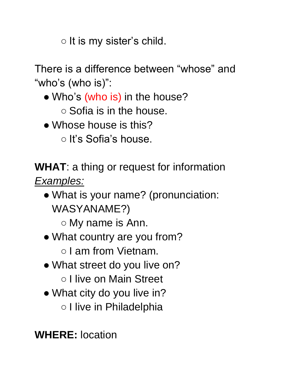$\circ$  It is my sister's child.

There is a difference between "whose" and "who's (who is)":

- Who's (who is) in the house?
	- Sofia is in the house.
- Whose house is this?
	- It's Sofia's house.

**WHAT**: a thing or request for information *Examples:*

• What is your name? (pronunciation: WASYANAME?)

○ My name is Ann.

• What country are you from?

○ I am from Vietnam.

• What street do you live on?

○ I live on Main Street

- What city do you live in?
	- I live in Philadelphia

**WHERE:** location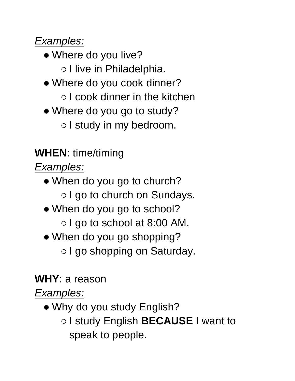#### *Examples:*

- Where do you live? ○ I live in Philadelphia.
- Where do you cook dinner? ○ I cook dinner in the kitchen
- Where do you go to study? ○ I study in my bedroom.

## **WHEN**: time/timing

*Examples:*

- When do you go to church? ○ I go to church on Sundays.
- When do you go to school? ○ I go to school at 8:00 AM.
- When do you go shopping? ○ I go shopping on Saturday.

### **WHY**: a reason

*Examples:*

• Why do you study English? ○ I study English **BECAUSE** I want to speak to people.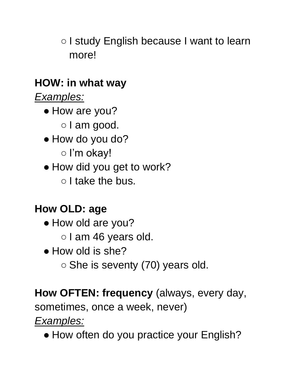○ I study English because I want to learn more!

### **HOW: in what way**

*Examples:*

- How are you?
	- I am good.
- How do you do?
	- I'm okay!
- How did you get to work?
	- I take the bus.

### **How OLD: age**

- How old are you?
	- I am 46 years old.
- How old is she?
	- She is seventy (70) years old.

**How OFTEN: frequency** (always, every day,

sometimes, once a week, never)

*Examples:*

• How often do you practice your English?